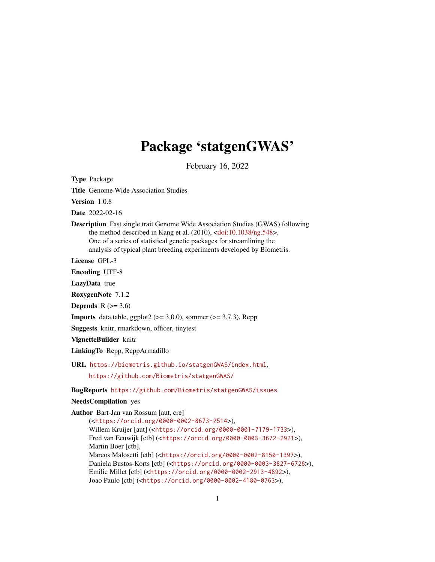# Package 'statgenGWAS'

February 16, 2022

Title Genome Wide Association Studies Version 1.0.8 Date 2022-02-16 Description Fast single trait Genome Wide Association Studies (GWAS) following the method described in Kang et al. (2010), [<doi:10.1038/ng.548>](https://doi.org/10.1038/ng.548). One of a series of statistical genetic packages for streamlining the analysis of typical plant breeding experiments developed by Biometris. License GPL-3 Encoding UTF-8 LazyData true RoxygenNote 7.1.2 Depends  $R$  ( $>= 3.6$ ) **Imports** data.table, ggplot2 ( $>= 3.0.0$ ), sommer ( $>= 3.7.3$ ), Rcpp Suggests knitr, rmarkdown, officer, tinytest VignetteBuilder knitr LinkingTo Rcpp, RcppArmadillo URL <https://biometris.github.io/statgenGWAS/index.html>, <https://github.com/Biometris/statgenGWAS/> BugReports <https://github.com/Biometris/statgenGWAS/issues> NeedsCompilation yes Author Bart-Jan van Rossum [aut, cre] (<<https://orcid.org/0000-0002-8673-2514>>), Willem Kruijer [aut] (<<https://orcid.org/0000-0001-7179-1733>>), Fred van Eeuwijk [ctb] (<<https://orcid.org/0000-0003-3672-2921>>), Martin Boer [ctb], Marcos Malosetti [ctb] (<<https://orcid.org/0000-0002-8150-1397>>), Daniela Bustos-Korts [ctb] (<<https://orcid.org/0000-0003-3827-6726>>), Emilie Millet [ctb] (<<https://orcid.org/0000-0002-2913-4892>>),

<span id="page-0-0"></span>Type Package

Joao Paulo [ctb] (<<https://orcid.org/0000-0002-4180-0763>>),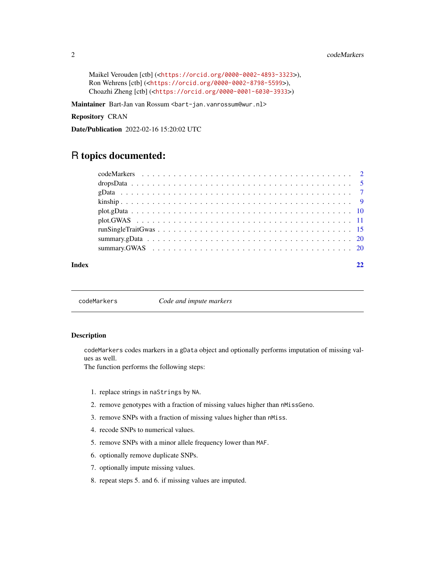#### <span id="page-1-0"></span>2 codeMarkers and the contract of the contract of the contract of the codeMarkers of the codeMarkers of the contract of the contract of the contract of the contract of the contract of the contract of the contract of the co

```
Maikel Verouden [ctb] (<https://orcid.org/0000-0002-4893-3323>),
Ron Wehrens [ctb] (<https://orcid.org/0000-0002-8798-5599>),
Choazhi Zheng [ctb] (<https://orcid.org/0000-0001-6030-3933>)
```
Maintainer Bart-Jan van Rossum <br/>Sbart-jan.vanrossum@wur.nl>

Repository CRAN

Date/Publication 2022-02-16 15:20:02 UTC

## R topics documented:

| Index |  |
|-------|--|

codeMarkers *Code and impute markers*

#### Description

codeMarkers codes markers in a gData object and optionally performs imputation of missing values as well.

The function performs the following steps:

- 1. replace strings in naStrings by NA.
- 2. remove genotypes with a fraction of missing values higher than nMissGeno.
- 3. remove SNPs with a fraction of missing values higher than nMiss.
- 4. recode SNPs to numerical values.
- 5. remove SNPs with a minor allele frequency lower than MAF.
- 6. optionally remove duplicate SNPs.
- 7. optionally impute missing values.
- 8. repeat steps 5. and 6. if missing values are imputed.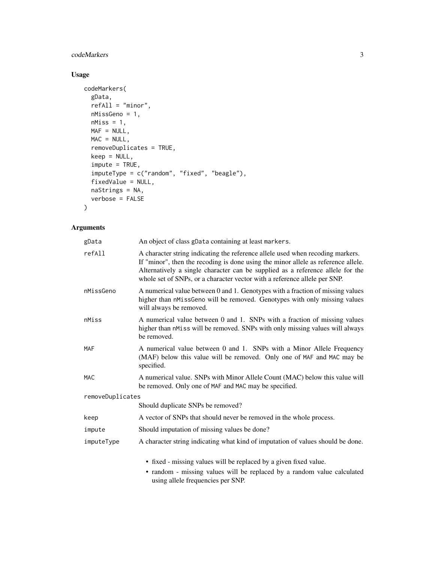#### codeMarkers 3

#### Usage

```
codeMarkers(
  gData,
 refAll = "minor",
 nMissGeno = 1,
 nMiss = 1,
 MAF = NULL,MAC = NULL,removeDuplicates = TRUE,
 keep = NULL,
  impute = TRUE,
  imputeType = c("random", "fixed", "beagle"),
  fixedValue = NULL,
  naStrings = NA,
 verbose = FALSE
\mathcal{L}
```
#### Arguments

| gData            | An object of class gData containing at least markers.                                                                                                                                                                                                                                                                              |
|------------------|------------------------------------------------------------------------------------------------------------------------------------------------------------------------------------------------------------------------------------------------------------------------------------------------------------------------------------|
| refAll           | A character string indicating the reference allele used when recoding markers.<br>If "minor", then the recoding is done using the minor allele as reference allele.<br>Alternatively a single character can be supplied as a reference allele for the<br>whole set of SNPs, or a character vector with a reference allele per SNP. |
| nMissGeno        | A numerical value between 0 and 1. Genotypes with a fraction of missing values<br>higher than nMissGeno will be removed. Genotypes with only missing values<br>will always be removed.                                                                                                                                             |
| nMiss            | A numerical value between 0 and 1. SNPs with a fraction of missing values<br>higher than nMiss will be removed. SNPs with only missing values will always<br>be removed.                                                                                                                                                           |
| MAF              | A numerical value between 0 and 1. SNPs with a Minor Allele Frequency<br>(MAF) below this value will be removed. Only one of MAF and MAC may be<br>specified.                                                                                                                                                                      |
| <b>MAC</b>       | A numerical value. SNPs with Minor Allele Count (MAC) below this value will<br>be removed. Only one of MAF and MAC may be specified.                                                                                                                                                                                               |
| removeDuplicates |                                                                                                                                                                                                                                                                                                                                    |
|                  | Should duplicate SNPs be removed?                                                                                                                                                                                                                                                                                                  |
| keep             | A vector of SNPs that should never be removed in the whole process.                                                                                                                                                                                                                                                                |
| impute           | Should imputation of missing values be done?                                                                                                                                                                                                                                                                                       |
| imputeType       | A character string indicating what kind of imputation of values should be done.                                                                                                                                                                                                                                                    |
|                  | • fixed - missing values will be replaced by a given fixed value.                                                                                                                                                                                                                                                                  |

• random - missing values will be replaced by a random value calculated using allele frequencies per SNP.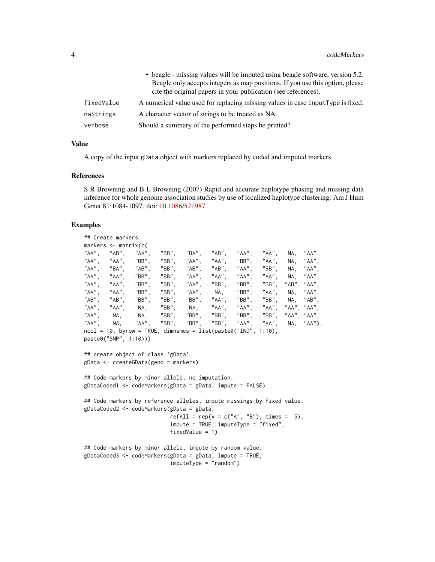|            | • beagle - missing values will be imputed using beagle software, version 5.2.    |
|------------|----------------------------------------------------------------------------------|
|            | Beagle only accepts integers as map positions. If you use this option, please    |
|            | cite the original papers in your publication (see references).                   |
| fixedValue | A numerical value used for replacing missing values in case input Type is fixed. |
| naStrings  | A character vector of strings to be treated as NA.                               |
| verbose    | Should a summary of the performed steps be printed?                              |

#### Value

A copy of the input gData object with markers replaced by coded and imputed markers.

#### References

S R Browning and B L Browning (2007) Rapid and accurate haplotype phasing and missing data inference for whole genome association studies by use of localized haplotype clustering. Am J Hum Genet 81:1084-1097. doi: [10.1086/521987](https://doi.org/10.1086/521987)

#### Examples

```
## Create markers
markers <- matrix(c(
"AA", "AB", "AA", "BB", "BA", "AB", "AA", "AA", <mark>NA, "AA", "AA",</mark><br>"AA", "AA", "BB", "BB", "AA", "AA", "BB", "AA", NA, "AA",
"AA", "AA", "BB", "BB", "AA", "AA", "BB", "AA", NA, "AA",
"AA", "BA", "AB", "BB", "AB", "AB", "AA", "BB", NA, "AA",<br>"AA", "AA", "BB", "BB", "AA", "AA", "AA", "AA", NA, "AA",
"AA", "AA", "BB", "BB", "AA", "AA", "AA", "AA", NA, "AA"<br>"AA", "AA", "BB", "BB", "AA", "BB", "BB", "BB", "AB","AA"
        "AA", "BB", "BB", "AA", "BB", "BB", "BB", "AB", "AA",<br>"AA". "BB", "BB", "AA", NA, "BB", "AA", NA, "AA",
"AA", "AA", "BB", "BB", "AA", NA, "BB", "AA", NA, "AA",<br>"AB", "AB", "BB", "BB", "BB", "AA", "BB", "BB", NA, "AB",
"AB", "AB", "BB", "BB", "BB", "AA", "BB", "BB", NA, "AB",
"AA", "AA", NA, "BB", NA, "AA", "AA", "AA", "AA", "AA",
"AA", NA, NA, "BB", "BB", "BB", "BB", "BB", "AA", "AA",
"AA", NA, "AA", "BB", "BB", "BB", "AA", "AA", NA, "AA"),
ncol = 10, byrow = TRUE, dimnames = list(paste0("IND", 1:10),
paste0("SNP", 1:10)))
## create object of class 'gData'.
gData <- createGData(geno = markers)
## Code markers by minor allele, no imputation.
gDataCoded1 <- codeMarkers(gData = gData, impute = FALSE)
## Code markers by reference alleles, impute missings by fixed value.
gDataCoded2 <- codeMarkers(gData = gData,
                              refAll = rep(x = c("A", "B"), times = 5),impute = TRUE, imputeType = "fixed",
                              fixedValue = 1)
## Code markers by minor allele, impute by random value.
gDataCoded3 <- codeMarkers(gData = gData, impute = TRUE,
                              imputeType = "random")
```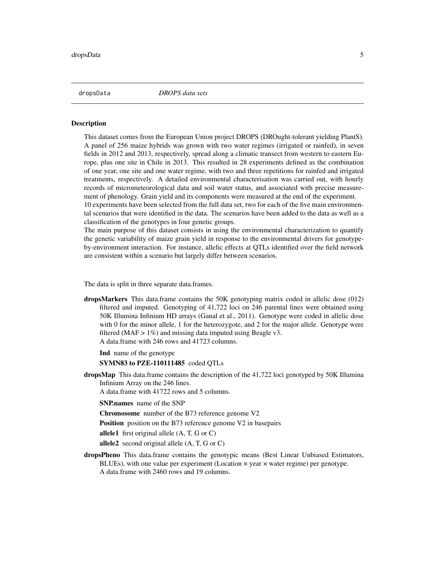<span id="page-4-0"></span>dropsData *DROPS data sets*

#### **Description**

This dataset comes from the European Union project DROPS (DROught-tolerant yielding PlantS). A panel of 256 maize hybrids was grown with two water regimes (irrigated or rainfed), in seven fields in 2012 and 2013, respectively, spread along a climatic transect from western to eastern Europe, plus one site in Chile in 2013. This resulted in 28 experiments defined as the combination of one year, one site and one water regime, with two and three repetitions for rainfed and irrigated treatments, respectively. A detailed environmental characterisation was carried out, with hourly records of micrometeorological data and soil water status, and associated with precise measurement of phenology. Grain yield and its components were measured at the end of the experiment.

10 experiments have been selected from the full data set, two for each of the five main environmental scenarios that were identified in the data. The scenarios have been added to the data as well as a classification of the genotypes in four genetic groups.

The main purpose of this dataset consists in using the environmental characterization to quantify the genetic variability of maize grain yield in response to the environmental drivers for genotypeby-environment interaction. For instance, allelic effects at QTLs identified over the field network are consistent within a scenario but largely differ between scenarios.

The data is split in three separate data.frames.

dropsMarkers This data.frame contains the 50K genotyping matrix coded in allelic dose (012) filtered and imputed. Genotyping of 41,722 loci on 246 parental lines were obtained using 50K Illumina Infinium HD arrays (Ganal et al., 2011). Genotype were coded in allelic dose with 0 for the minor allele, 1 for the heterozygote, and 2 for the major allele. Genotype were filtered (MAF  $> 1\%$ ) and missing data imputed using Beagle v3. A data.frame with 246 rows and 41723 columns.

Ind name of the genotype

SYMN83 to PZE-110111485 coded QTLs

dropsMap This data.frame contains the description of the 41,722 loci genotyped by 50K Illumina Infinium Array on the 246 lines.

A data.frame with 41722 rows and 5 columns.

SNP.names name of the SNP

Chromosome number of the B73 reference genome V2

**Position** position on the B73 reference genome V2 in basepairs

allele1 first original allele (A, T, G or C)

allele<sub>2</sub> second original allele  $(A, T, G, o, C)$ 

dropsPheno This data.frame contains the genotypic means (Best Linear Unbiased Estimators, BLUEs), with one value per experiment (Location  $\times$  year  $\times$  water regime) per genotype. A data.frame with 2460 rows and 19 columns.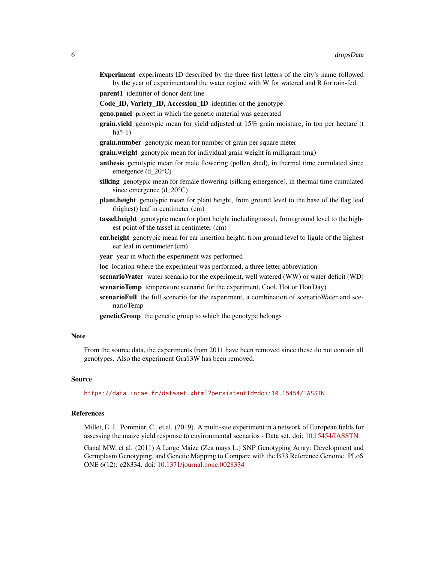Experiment experiments ID described by the three first letters of the city's name followed by the year of experiment and the water regime with W for watered and R for rain-fed.

parent1 identifier of donor dent line

Code\_ID, Variety\_ID, Accession\_ID identifier of the genotype

geno.panel project in which the genetic material was generated

- grain.yield genotypic mean for yield adjusted at 15% grain moisture, in ton per hectare (t  $ha^{\wedge}-1)$
- grain.number genotypic mean for number of grain per square meter

grain.weight genotypic mean for individual grain weight in milligram (mg)

- anthesis genotypic mean for male flowering (pollen shed), in thermal time cumulated since emergence (d\_20°C)
- silking genotypic mean for female flowering (silking emergence), in thermal time cumulated since emergence (d\_20°C)
- plant.height genotypic mean for plant height, from ground level to the base of the flag leaf (highest) leaf in centimeter (cm)
- tassel.height genotypic mean for plant height including tassel, from ground level to the highest point of the tassel in centimeter (cm)
- ear.height genotypic mean for ear insertion height, from ground level to ligule of the highest ear leaf in centimeter (cm)
- year year in which the experiment was performed
- loc location where the experiment was performed, a three letter abbreviation
- scenarioWater water scenario for the experiment, well watered (WW) or water deficit (WD)
- scenarioTemp temperature scenario for the experiment, Cool, Hot or Hot(Day)
- scenarioFull the full scenario for the experiment, a combination of scenarioWater and scenarioTemp
- geneticGroup the genetic group to which the genotype belongs

#### Note

From the source data, the experiments from 2011 have been removed since these do not contain all genotypes. Also the experiment Gra13W has been removed.

#### Source

<https://data.inrae.fr/dataset.xhtml?persistentId=doi:10.15454/IASSTN>

#### References

Millet, E. J., Pommier, C., et al. (2019). A multi-site experiment in a network of European fields for assessing the maize yield response to environmental scenarios - Data set. doi: [10.15454/IASSTN](https://doi.org/10.15454/IASSTN)

Ganal MW, et al. (2011) A Large Maize (Zea mays L.) SNP Genotyping Array: Development and Germplasm Genotyping, and Genetic Mapping to Compare with the B73 Reference Genome. PLoS ONE 6(12): e28334. doi: [10.1371/journal.pone.0028334](https://doi.org/10.1371/journal.pone.0028334)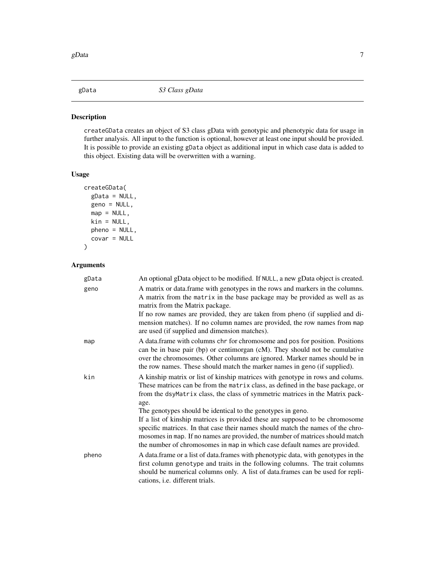<span id="page-6-0"></span>

#### Description

createGData creates an object of S3 class gData with genotypic and phenotypic data for usage in further analysis. All input to the function is optional, however at least one input should be provided. It is possible to provide an existing gData object as additional input in which case data is added to this object. Existing data will be overwritten with a warning.

#### Usage

```
createGData(
  gData = NULL,
  geno = NULL,
 map = NULL,kin = NULL,pheno = NULL,
  covar = NULL
)
```
#### Arguments

| gData | An optional gData object to be modified. If NULL, a new gData object is created.                                                                                                                                                                                                                                                                                                                              |
|-------|---------------------------------------------------------------------------------------------------------------------------------------------------------------------------------------------------------------------------------------------------------------------------------------------------------------------------------------------------------------------------------------------------------------|
| geno  | A matrix or data. frame with genotypes in the rows and markers in the columns.<br>A matrix from the matrix in the base package may be provided as well as as<br>matrix from the Matrix package.<br>If no row names are provided, they are taken from pheno (if supplied and di-<br>mension matches). If no column names are provided, the row names from map<br>are used (if supplied and dimension matches). |
| map   | A data.frame with columns chr for chromosome and pos for position. Positions<br>can be in base pair (bp) or centimorgan (cM). They should not be cumulative<br>over the chromosomes. Other columns are ignored. Marker names should be in<br>the row names. These should match the marker names in geno (if supplied).                                                                                        |
| kin   | A kinship matrix or list of kinship matrices with genotype in rows and colums.<br>These matrices can be from the matrix class, as defined in the base package, or<br>from the dsyMatrix class, the class of symmetric matrices in the Matrix pack-<br>age.                                                                                                                                                    |
|       | The genotypes should be identical to the genotypes in geno.<br>If a list of kinship matrices is provided these are supposed to be chromosome<br>specific matrices. In that case their names should match the names of the chro-<br>mosomes in map. If no names are provided, the number of matrices should match<br>the number of chromosomes in map in which case default names are provided.                |
| pheno | A data frame or a list of data frames with phenotypic data, with genotypes in the<br>first column genotype and traits in the following columns. The trait columns<br>should be numerical columns only. A list of data.frames can be used for repli-<br>cations, i.e. different trials.                                                                                                                        |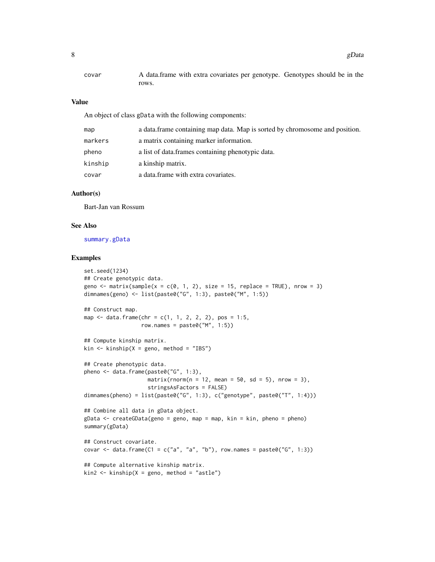<span id="page-7-0"></span>

| covar | A data.frame with extra covariates per genotype. Genotypes should be in the |
|-------|-----------------------------------------------------------------------------|
|       | rows.                                                                       |

#### Value

An object of class gData with the following components:

| map     | a data. frame containing map data. Map is sorted by chromosome and position. |
|---------|------------------------------------------------------------------------------|
| markers | a matrix containing marker information.                                      |
| pheno   | a list of data frames containing phenotypic data.                            |
| kinship | a kinship matrix.                                                            |
| covar   | a data frame with extra covariates.                                          |

#### Author(s)

Bart-Jan van Rossum

#### See Also

[summary.gData](#page-19-1)

#### Examples

```
set.seed(1234)
## Create genotypic data.
geno \le matrix(sample(x = c(0, 1, 2), size = 15, replace = TRUE), nrow = 3)
dimnames(geno) <- list(paste0("G", 1:3), paste0("M", 1:5))
## Construct map.
map \le - data.frame(chr = c(1, 1, 2, 2, 2), pos = 1:5,
                  row.names = past@("M", 1:5))## Compute kinship matrix.
kin \le kinship(X = geno, method = "IBS")
## Create phenotypic data.
pheno <- data.frame(paste0("G", 1:3),
                    matrix(rnorm(n = 12, mean = 50, sd = 5), nrow = 3),
                    stringsAsFactors = FALSE)
dimnames(pheno) = list(paste0("G", 1:3), c("genotype", paste0("T", 1:4)))
## Combine all data in gData object.
gData <- createGData(geno = geno, map = map, kin = kin, pheno = pheno)
summary(gData)
## Construct covariate.
covar \le data.frame(C1 = c("a", "a", "b"), row.names = paste0("G", 1:3))
## Compute alternative kinship matrix.
kin2 \le - kinship(X = geno, method = "astle")
```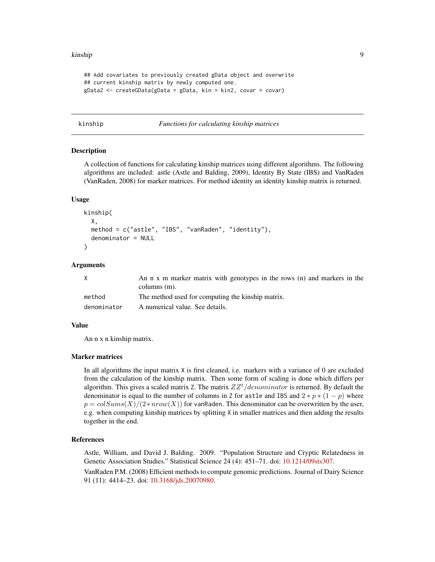#### <span id="page-8-0"></span>kinship 9

```
## Add covariates to previously created gData object and overwrite
## current kinship matrix by newly computed one.
gData2 <- createGData(gData = gData, kin = kin2, covar = covar)
```
#### kinship *Functions for calculating kinship matrices*

#### Description

A collection of functions for calculating kinship matrices using different algorithms. The following algorithms are included: astle (Astle and Balding, 2009), Identity By State (IBS) and VanRaden (VanRaden, 2008) for marker matrices. For method identity an identity kinship matrix is returned.

#### Usage

```
kinship(
  X,
 method = c("astle", "IBS", "vanRaden", "identity"),
  denominator = NULL
)
```
#### Arguments

|             | An n x m marker matrix with genotypes in the rows (n) and markers in the |
|-------------|--------------------------------------------------------------------------|
|             | columns $(m)$ .                                                          |
| method      | The method used for computing the kinship matrix.                        |
| denominator | A numerical value. See details.                                          |

#### Value

An n x n kinship matrix.

#### Marker matrices

In all algorithms the input matrix X is first cleaned, i.e. markers with a variance of 0 are excluded from the calculation of the kinship matrix. Then some form of scaling is done which differs per algorithm. This gives a scaled matrix Z. The matrix  $ZZ<sup>t</sup>/denominator$  is returned. By default the denominator is equal to the number of columns in Z for astle and IBS and  $2 * p * (1 - p)$  where  $p = colSums(X)/(2 * nrow(X))$  for vanRaden. This denominator can be overwritten by the user, e.g. when computing kinship matrices by splitting X in smaller matrices and then adding the results together in the end.

#### References

Astle, William, and David J. Balding. 2009. "Population Structure and Cryptic Relatedness in Genetic Association Studies." Statistical Science 24 (4): 451–71. doi: [10.1214/09sts307.](https://doi.org/10.1214/09-sts307)

VanRaden P.M. (2008) Efficient methods to compute genomic predictions. Journal of Dairy Science 91 (11): 4414–23. doi: [10.3168/jds.20070980.](https://doi.org/10.3168/jds.2007-0980)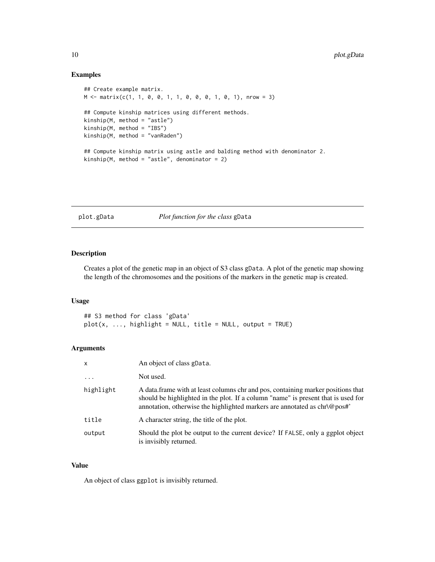#### Examples

```
## Create example matrix.
M <- matrix(c(1, 1, 0, 0, 1, 1, 0, 0, 0, 1, 0, 1), nrow = 3)
## Compute kinship matrices using different methods.
kinship(M, method = "astle")
kinship(M, method = "IBS")
kinship(M, method = "vanRaden")
## Compute kinship matrix using astle and balding method with denominator 2.
kinship(M, method = "astle", denominator = 2)
```
#### plot.gData *Plot function for the class* gData

#### Description

Creates a plot of the genetic map in an object of S3 class gData. A plot of the genetic map showing the length of the chromosomes and the positions of the markers in the genetic map is created.

#### Usage

## S3 method for class 'gData'  $plot(x, ..., highlight = NULL, title = NULL, output = TRUE)$ 

#### Arguments

| X          | An object of class gData.                                                                                                                                                                                                                          |
|------------|----------------------------------------------------------------------------------------------------------------------------------------------------------------------------------------------------------------------------------------------------|
| $\ddots$ . | Not used.                                                                                                                                                                                                                                          |
| highlight  | A data frame with at least columns chr and pos, containing marker positions that<br>should be highlighted in the plot. If a column "name" is present that is used for<br>annotation, otherwise the highlighted markers are annotated as chr\@pos#' |
| title      | A character string, the title of the plot.                                                                                                                                                                                                         |
| output     | Should the plot be output to the current device? If FALSE, only a ggplot object<br>is invisibly returned.                                                                                                                                          |

#### Value

An object of class ggplot is invisibly returned.

<span id="page-9-0"></span>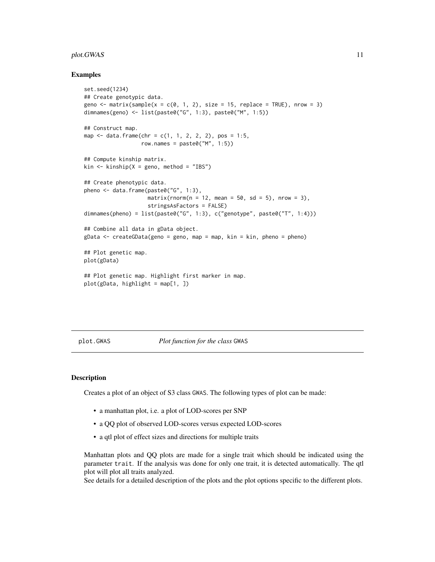#### <span id="page-10-0"></span>plot.GWAS 11

#### Examples

```
set.seed(1234)
## Create genotypic data.
geno \le matrix(sample(x = c(0, 1, 2), size = 15, replace = TRUE), nrow = 3)
dimnames(geno) <- list(paste0("G", 1:3), paste0("M", 1:5))
## Construct map.
map \le data.frame(chr = c(1, 1, 2, 2, 2), pos = 1:5,
                  row.names = past@("M", 1:5))## Compute kinship matrix.
kin \le kinship(X = geno, method = "IBS")
## Create phenotypic data.
pheno <- data.frame(paste0("G", 1:3),
                    matrix(rnorm(n = 12, mean = 50, sd = 5), nrow = 3),
                    stringsAsFactors = FALSE)
dimnames(pheno) = list(paste0("G", 1:3), c("genotype", paste0("T", 1:4)))
## Combine all data in gData object.
gData < - createGData(geno = geno, map = map, kin = kin, pheno = pheno)
## Plot genetic map.
plot(gData)
## Plot genetic map. Highlight first marker in map.
plot(gData, highlight = map[1, ])
```
<span id="page-10-1"></span>plot.GWAS *Plot function for the class* GWAS

#### Description

Creates a plot of an object of S3 class GWAS. The following types of plot can be made:

- a manhattan plot, i.e. a plot of LOD-scores per SNP
- a QQ plot of observed LOD-scores versus expected LOD-scores
- a qtl plot of effect sizes and directions for multiple traits

Manhattan plots and QQ plots are made for a single trait which should be indicated using the parameter trait. If the analysis was done for only one trait, it is detected automatically. The qtl plot will plot all traits analyzed.

See details for a detailed description of the plots and the plot options specific to the different plots.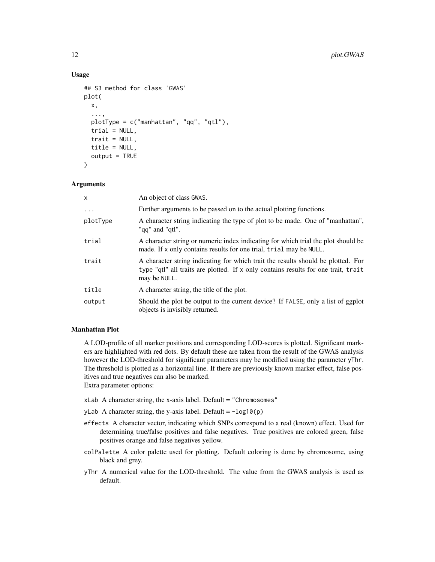#### Usage

```
## S3 method for class 'GWAS'
plot(
  x,
  ...,
  plotType = c("manhattan", "qq", "qtl"),
  trial = NULL,\text{trait} = \text{NULL},
  title = NULL,
  output = TRUE)
```
#### **Arguments**

| x          | An object of class GWAS.                                                                                                                                                               |
|------------|----------------------------------------------------------------------------------------------------------------------------------------------------------------------------------------|
| $\ddots$ . | Further arguments to be passed on to the actual plotting functions.                                                                                                                    |
| plotType   | A character string indicating the type of plot to be made. One of "manhattan",<br>"gq" and "gtl".                                                                                      |
| trial      | A character string or numeric index indicating for which trial the plot should be<br>made. If x only contains results for one trial, trial may be NULL.                                |
| trait      | A character string indicating for which trait the results should be plotted. For<br>type "qtl" all traits are plotted. If x only contains results for one trait, trait<br>may be NULL. |
| title      | A character string, the title of the plot.                                                                                                                                             |
| output     | Should the plot be output to the current device? If FALSE, only a list of ggplot<br>objects is invisibly returned.                                                                     |

#### Manhattan Plot

A LOD-profile of all marker positions and corresponding LOD-scores is plotted. Significant markers are highlighted with red dots. By default these are taken from the result of the GWAS analysis however the LOD-threshold for significant parameters may be modified using the parameter yThr. The threshold is plotted as a horizontal line. If there are previously known marker effect, false positives and true negatives can also be marked.

Extra parameter options:

- $x$ Lab A character string, the x-axis label. Default = "Chromosomes"
- yLab A character string, the y-axis label. Default =  $-log10(p)$
- effects A character vector, indicating which SNPs correspond to a real (known) effect. Used for determining true/false positives and false negatives. True positives are colored green, false positives orange and false negatives yellow.
- colPalette A color palette used for plotting. Default coloring is done by chromosome, using black and grey.
- yThr A numerical value for the LOD-threshold. The value from the GWAS analysis is used as default.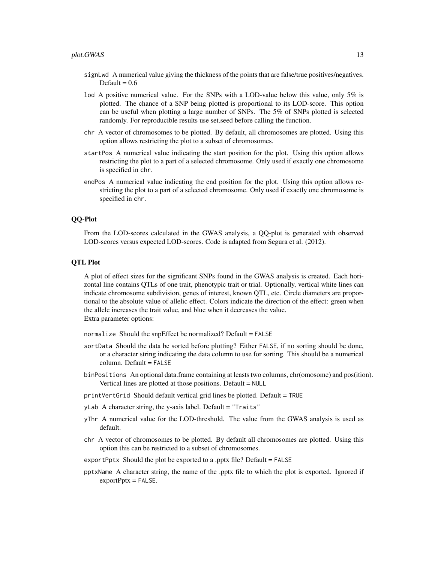- signLwd A numerical value giving the thickness of the points that are false/true positives/negatives. Default =  $0.6$
- lod A positive numerical value. For the SNPs with a LOD-value below this value, only 5% is plotted. The chance of a SNP being plotted is proportional to its LOD-score. This option can be useful when plotting a large number of SNPs. The 5% of SNPs plotted is selected randomly. For reproducible results use set.seed before calling the function.
- chr A vector of chromosomes to be plotted. By default, all chromosomes are plotted. Using this option allows restricting the plot to a subset of chromosomes.
- startPos A numerical value indicating the start position for the plot. Using this option allows restricting the plot to a part of a selected chromosome. Only used if exactly one chromosome is specified in chr.
- endPos A numerical value indicating the end position for the plot. Using this option allows restricting the plot to a part of a selected chromosome. Only used if exactly one chromosome is specified in chr.

#### QQ-Plot

From the LOD-scores calculated in the GWAS analysis, a QQ-plot is generated with observed LOD-scores versus expected LOD-scores. Code is adapted from Segura et al. (2012).

#### QTL Plot

A plot of effect sizes for the significant SNPs found in the GWAS analysis is created. Each horizontal line contains QTLs of one trait, phenotypic trait or trial. Optionally, vertical white lines can indicate chromosome subdivision, genes of interest, known QTL, etc. Circle diameters are proportional to the absolute value of allelic effect. Colors indicate the direction of the effect: green when the allele increases the trait value, and blue when it decreases the value. Extra parameter options:

normalize Should the snpEffect be normalized? Default = FALSE

- sortData Should the data be sorted before plotting? Either FALSE, if no sorting should be done, or a character string indicating the data column to use for sorting. This should be a numerical column. Default = FALSE
- binPositions An optional data.frame containing at leasts two columns, chr(omosome) and pos(ition). Vertical lines are plotted at those positions. Default = NULL

printVertGrid Should default vertical grid lines be plotted. Default = TRUE

- yLab A character string, the y-axis label. Default = "Traits"
- yThr A numerical value for the LOD-threshold. The value from the GWAS analysis is used as default.
- chr A vector of chromosomes to be plotted. By default all chromosomes are plotted. Using this option this can be restricted to a subset of chromosomes.
- exportPptx Should the plot be exported to a .pptx file? Default = FALSE
- pptxName A character string, the name of the .pptx file to which the plot is exported. Ignored if  $exportPptx = FALSE.$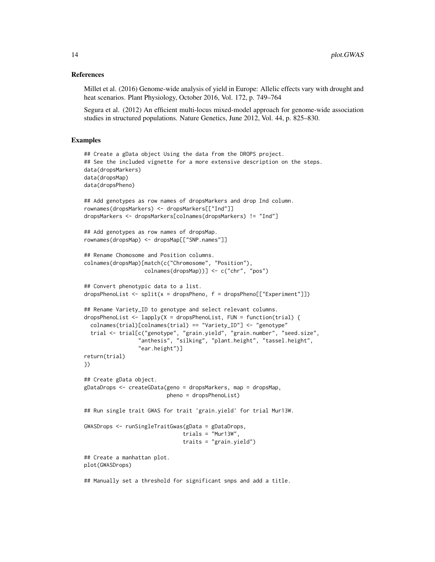#### References

Millet et al. (2016) Genome-wide analysis of yield in Europe: Allelic effects vary with drought and heat scenarios. Plant Physiology, October 2016, Vol. 172, p. 749–764

Segura et al. (2012) An efficient multi-locus mixed-model approach for genome-wide association studies in structured populations. Nature Genetics, June 2012, Vol. 44, p. 825–830.

#### Examples

```
## Create a gData object Using the data from the DROPS project.
## See the included vignette for a more extensive description on the steps.
data(dropsMarkers)
data(dropsMap)
data(dropsPheno)
## Add genotypes as row names of dropsMarkers and drop Ind column.
rownames(dropsMarkers) <- dropsMarkers[["Ind"]]
dropsMarkers <- dropsMarkers[colnames(dropsMarkers) != "Ind"]
## Add genotypes as row names of dropsMap.
rownames(dropsMap) <- dropsMap[["SNP.names"]]
## Rename Chomosome and Position columns.
colnames(dropsMap)[match(c("Chromosome", "Position"),
                   colnames(dropsMap))] <- c("chr", "pos")
## Convert phenotypic data to a list.
dropsPhenoList <- split(x = dropsPheno, f = dropsPheno[["Experiment"]])
## Rename Variety_ID to genotype and select relevant columns.
dropsPhenoList <- lapply(X = dropsPhenoList, FUN = function(trial) {
 colnames(trial)[colnames(trial) == "Variety_ID"] <- "genotype"
 trial <- trial[c("genotype", "grain.yield", "grain.number", "seed.size",
                 "anthesis", "silking", "plant.height", "tassel.height",
                 "ear.height")]
return(trial)
})
## Create gData object.
gDataDrops <- createGData(geno = dropsMarkers, map = dropsMap,
                          pheno = dropsPhenoList)
## Run single trait GWAS for trait 'grain.yield' for trial Mur13W.
GWASDrops <- runSingleTraitGwas(gData = gDataDrops,
                               trials = "Mur13W",
                               traits = "grain.yield")
## Create a manhattan plot.
plot(GWASDrops)
## Manually set a threshold for significant snps and add a title.
```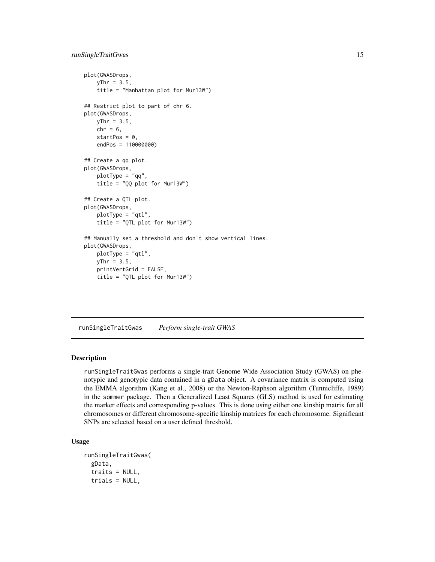#### <span id="page-14-0"></span>runSingleTraitGwas 15

```
plot(GWASDrops,
   yThr = 3.5,
   title = "Manhattan plot for Mur13W")
## Restrict plot to part of chr 6.
plot(GWASDrops,
   yThr = 3.5,
   chr = 6,
   startPos = 0,
   endPos = 110000000)
## Create a qq plot.
plot(GWASDrops,
   plotType = "qq",title = "QQ plot for Mur13W")
## Create a QTL plot.
plot(GWASDrops,
   plotType = "qtl",
    title = "QTL plot for Mur13W")
## Manually set a threshold and don't show vertical lines.
plot(GWASDrops,
   plotType = "qtl",
   yThr = 3.5,
   printVertGrid = FALSE,
   title = "QTL plot for Mur13W")
```
runSingleTraitGwas *Perform single-trait GWAS*

#### Description

runSingleTraitGwas performs a single-trait Genome Wide Association Study (GWAS) on phenotypic and genotypic data contained in a gData object. A covariance matrix is computed using the EMMA algorithm (Kang et al., 2008) or the Newton-Raphson algorithm (Tunnicliffe, 1989) in the sommer package. Then a Generalized Least Squares (GLS) method is used for estimating the marker effects and corresponding p-values. This is done using either one kinship matrix for all chromosomes or different chromosome-specific kinship matrices for each chromosome. Significant SNPs are selected based on a user defined threshold.

#### Usage

```
runSingleTraitGwas(
  gData,
  traits = NULL,
  trials = NULL,
```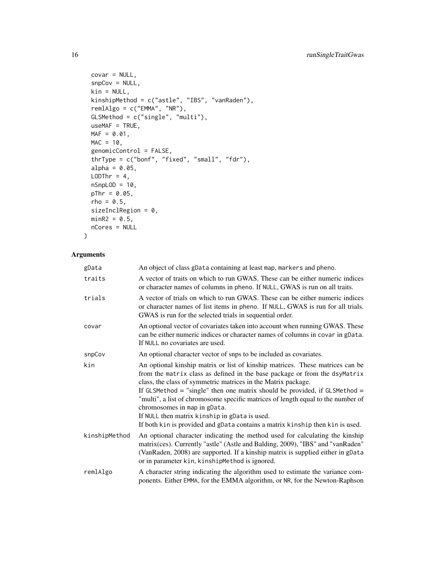```
covar = NULL,snpCov = NULL,kin = NULL,
kinshipMethod = c("astle", "IBS", "vanRaden"),
remlAlgo = c("EMMA", "NR"),
GLSMethod = c("single", "multi"),
useMAF = TRUE,
MAF = 0.01,MAC = 10,genomicControl = FALSE,
thrType = c("bonf", "fixed", "small", "fdr"),
alpha = 0.05,
LODThr = 4,
nSnplOD = 10,
pThr = 0.05,
rho = 0.5,
sizeInclRegion = 0,
minR2 = 0.5,
nCores = NULL
```
#### Arguments

 $\lambda$ 

| gData         | An object of class gData containing at least map, markers and pheno.                                                                                                                                                                                                                                                                                                                                                                                                                                                                                             |
|---------------|------------------------------------------------------------------------------------------------------------------------------------------------------------------------------------------------------------------------------------------------------------------------------------------------------------------------------------------------------------------------------------------------------------------------------------------------------------------------------------------------------------------------------------------------------------------|
| traits        | A vector of traits on which to run GWAS. These can be either numeric indices<br>or character names of columns in pheno. If NULL, GWAS is run on all traits.                                                                                                                                                                                                                                                                                                                                                                                                      |
| trials        | A vector of trials on which to run GWAS. These can be either numeric indices<br>or character names of list items in pheno. If NULL, GWAS is run for all trials.<br>GWAS is run for the selected trials in sequential order.                                                                                                                                                                                                                                                                                                                                      |
| covar         | An optional vector of covariates taken into account when running GWAS. These<br>can be either numeric indices or character names of columns in covar in gData.<br>If NULL no covariates are used.                                                                                                                                                                                                                                                                                                                                                                |
| snpCov        | An optional character vector of snps to be included as covariates.                                                                                                                                                                                                                                                                                                                                                                                                                                                                                               |
| kin           | An optional kinship matrix or list of kinship matrices. These matrices can be<br>from the matrix class as defined in the base package or from the dsyMatrix<br>class, the class of symmetric matrices in the Matrix package.<br>If GLSMethod = "single" then one matrix should be provided, if GLSMethod =<br>"multi", a list of chromosome specific matrices of length equal to the number of<br>chromosomes in map in gData.<br>If NULL then matrix kinship in gData is used.<br>If both kin is provided and gData contains a matrix kinship then kin is used. |
| kinshipMethod | An optional character indicating the method used for calculating the kinship<br>matrix(ces). Currently "astle" (Astle and Balding, 2009), "IBS" and "vanRaden"<br>(VanRaden, 2008) are supported. If a kinship matrix is supplied either in gData<br>or in parameter kin, kinshipMethod is ignored.                                                                                                                                                                                                                                                              |
| remlAlgo      | A character string indicating the algorithm used to estimate the variance com-<br>ponents. Either EMMA, for the EMMA algorithm, or NR, for the Newton-Raphson                                                                                                                                                                                                                                                                                                                                                                                                    |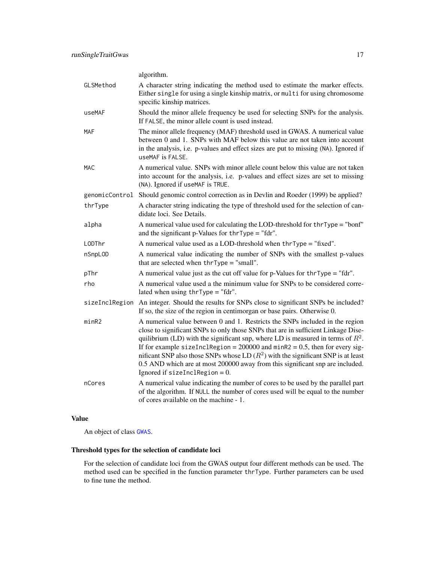<span id="page-16-0"></span>

|                | algorithm.                                                                                                                                                                                                                                                                                                                                                                                                                                                                                                                                           |
|----------------|------------------------------------------------------------------------------------------------------------------------------------------------------------------------------------------------------------------------------------------------------------------------------------------------------------------------------------------------------------------------------------------------------------------------------------------------------------------------------------------------------------------------------------------------------|
| GLSMethod      | A character string indicating the method used to estimate the marker effects.<br>Either single for using a single kinship matrix, or multi for using chromosome<br>specific kinship matrices.                                                                                                                                                                                                                                                                                                                                                        |
| useMAF         | Should the minor allele frequency be used for selecting SNPs for the analysis.<br>If FALSE, the minor allele count is used instead.                                                                                                                                                                                                                                                                                                                                                                                                                  |
| <b>MAF</b>     | The minor allele frequency (MAF) threshold used in GWAS. A numerical value<br>between 0 and 1. SNPs with MAF below this value are not taken into account<br>in the analysis, i.e. p-values and effect sizes are put to missing (NA). Ignored if<br>useMAF is FALSE.                                                                                                                                                                                                                                                                                  |
| <b>MAC</b>     | A numerical value. SNPs with minor allele count below this value are not taken<br>into account for the analysis, i.e. p-values and effect sizes are set to missing<br>(NA). Ignored if useMAF is TRUE.                                                                                                                                                                                                                                                                                                                                               |
|                | genomicControl Should genomic control correction as in Devlin and Roeder (1999) be applied?                                                                                                                                                                                                                                                                                                                                                                                                                                                          |
| thrType        | A character string indicating the type of threshold used for the selection of can-<br>didate loci. See Details.                                                                                                                                                                                                                                                                                                                                                                                                                                      |
| alpha          | A numerical value used for calculating the LOD-threshold for $thrType = "bonf"$<br>and the significant p-Values for $thr$ Type = "fdr".                                                                                                                                                                                                                                                                                                                                                                                                              |
| LODThr         | A numerical value used as a LOD-threshold when $thrType = "fixed".$                                                                                                                                                                                                                                                                                                                                                                                                                                                                                  |
| nSnpL0D        | A numerical value indicating the number of SNPs with the smallest p-values<br>that are selected when thrType = "small".                                                                                                                                                                                                                                                                                                                                                                                                                              |
| pThr           | A numerical value just as the cut off value for $p$ -Values for thrType = "fdr".                                                                                                                                                                                                                                                                                                                                                                                                                                                                     |
| rho            | A numerical value used a the minimum value for SNPs to be considered corre-<br>lated when using $thrType = "fdr".$                                                                                                                                                                                                                                                                                                                                                                                                                                   |
| sizeInclRegion | An integer. Should the results for SNPs close to significant SNPs be included?<br>If so, the size of the region in centimorgan or base pairs. Otherwise 0.                                                                                                                                                                                                                                                                                                                                                                                           |
| minR2          | A numerical value between 0 and 1. Restricts the SNPs included in the region<br>close to significant SNPs to only those SNPs that are in sufficient Linkage Dise-<br>quilibrium (LD) with the significant snp, where LD is measured in terms of $R^2$ .<br>If for example sizeInclRegion = $200000$ and minR2 = 0.5, then for every sig-<br>nificant SNP also those SNPs whose LD $(R^2)$ with the significant SNP is at least<br>0.5 AND which are at most 200000 away from this significant snp are included.<br>Ignored if $sizeInclRegion = 0$ . |
| nCores         | A numerical value indicating the number of cores to be used by the parallel part<br>of the algorithm. If NULL the number of cores used will be equal to the number<br>of cores available on the machine - 1.                                                                                                                                                                                                                                                                                                                                         |

#### Value

An object of class [GWAS](#page-0-0).

#### Threshold types for the selection of candidate loci

For the selection of candidate loci from the GWAS output four different methods can be used. The method used can be specified in the function parameter thrType. Further parameters can be used to fine tune the method.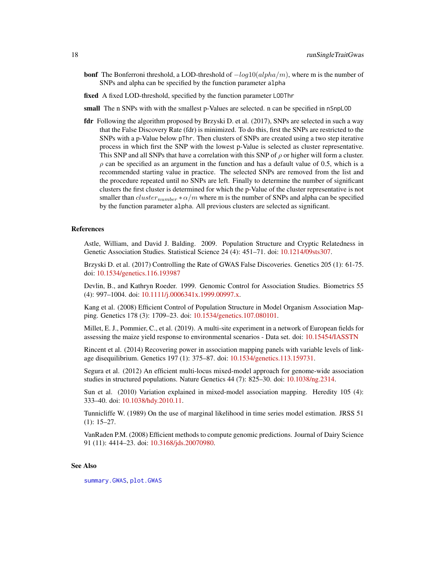- <span id="page-17-0"></span>**bonf** The Bonferroni threshold, a LOD-threshold of  $-log10(alpha/m)$ , where m is the number of SNPs and alpha can be specified by the function parameter alpha
- fixed A fixed LOD-threshold, specified by the function parameter LODThr
- small The n SNPs with with the smallest p-Values are selected. n can be specified in nSnpLOD
- fdr Following the algorithm proposed by Brzyski D. et al. (2017), SNPs are selected in such a way that the False Discovery Rate (fdr) is minimized. To do this, first the SNPs are restricted to the SNPs with a p-Value below pThr. Then clusters of SNPs are created using a two step iterative process in which first the SNP with the lowest p-Value is selected as cluster representative. This SNP and all SNPs that have a correlation with this SNP of  $\rho$  or higher will form a cluster.  $\rho$  can be specified as an argument in the function and has a default value of 0.5, which is a recommended starting value in practice. The selected SNPs are removed from the list and the procedure repeated until no SNPs are left. Finally to determine the number of significant clusters the first cluster is determined for which the p-Value of the cluster representative is not smaller than  $cluster_{number} * \alpha/m$  where m is the number of SNPs and alpha can be specified by the function parameter alpha. All previous clusters are selected as significant.

#### References

Astle, William, and David J. Balding. 2009. Population Structure and Cryptic Relatedness in Genetic Association Studies. Statistical Science 24 (4): 451–71. doi: [10.1214/09sts307.](https://doi.org/10.1214/09-sts307)

Brzyski D. et al. (2017) Controlling the Rate of GWAS False Discoveries. Genetics 205 (1): 61-75. doi: [10.1534/genetics.116.193987](https://doi.org/10.1534/genetics.116.193987)

Devlin, B., and Kathryn Roeder. 1999. Genomic Control for Association Studies. Biometrics 55 (4): 997–1004. doi: [10.1111/j.0006341x.1999.00997.x.](https://doi.org/10.1111/j.0006-341x.1999.00997.x)

Kang et al. (2008) Efficient Control of Population Structure in Model Organism Association Mapping. Genetics 178 (3): 1709–23. doi: [10.1534/genetics.107.080101.](https://doi.org/10.1534/genetics.107.080101)

Millet, E. J., Pommier, C., et al. (2019). A multi-site experiment in a network of European fields for assessing the maize yield response to environmental scenarios - Data set. doi: [10.15454/IASSTN](https://doi.org/10.15454/IASSTN)

Rincent et al. (2014) Recovering power in association mapping panels with variable levels of linkage disequilibrium. Genetics 197 (1): 375–87. doi: [10.1534/genetics.113.159731.](https://doi.org/10.1534/genetics.113.159731)

Segura et al. (2012) An efficient multi-locus mixed-model approach for genome-wide association studies in structured populations. Nature Genetics 44 (7): 825–30. doi: [10.1038/ng.2314.](https://doi.org/10.1038/ng.2314)

Sun et al. (2010) Variation explained in mixed-model association mapping. Heredity 105 (4): 333–40. doi: [10.1038/hdy.2010.11.](https://doi.org/10.1038/hdy.2010.11)

Tunnicliffe W. (1989) On the use of marginal likelihood in time series model estimation. JRSS 51 (1): 15–27.

VanRaden P.M. (2008) Efficient methods to compute genomic predictions. Journal of Dairy Science 91 (11): 4414–23. doi: [10.3168/jds.20070980.](https://doi.org/10.3168/jds.2007-0980)

#### See Also

[summary.GWAS](#page-19-2), [plot.GWAS](#page-10-1)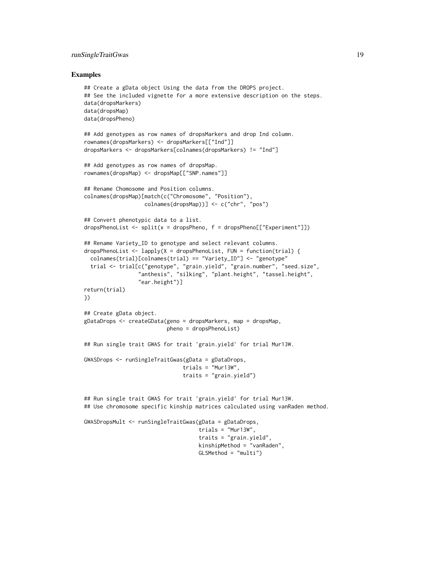#### runSingleTraitGwas 19

#### Examples

```
## Create a gData object Using the data from the DROPS project.
## See the included vignette for a more extensive description on the steps.
data(dropsMarkers)
data(dropsMap)
data(dropsPheno)
## Add genotypes as row names of dropsMarkers and drop Ind column.
rownames(dropsMarkers) <- dropsMarkers[["Ind"]]
dropsMarkers <- dropsMarkers[colnames(dropsMarkers) != "Ind"]
## Add genotypes as row names of dropsMap.
rownames(dropsMap) <- dropsMap[["SNP.names"]]
## Rename Chomosome and Position columns.
colnames(dropsMap)[match(c("Chromosome", "Position"),
                   colnames(dropsMap))] <- c("chr", "pos")
## Convert phenotypic data to a list.
dropsPhenoList <- split(x = dropsPheno, f = dropsPheno[["Experiment"]])
## Rename Variety_ID to genotype and select relevant columns.
dropsPhenoList \leq lapply(X = dropsPhenoList, FUN = function(trial) {
 colnames(trial)[colnames(trial) == "Variety_ID"] <- "genotype"
  trial <- trial[c("genotype", "grain.yield", "grain.number", "seed.size",
                 "anthesis", "silking", "plant.height", "tassel.height",
                 "ear.height")]
return(trial)
})
## Create gData object.
gDataDrops <- createGData(geno = dropsMarkers, map = dropsMap,
                          pheno = dropsPhenoList)
## Run single trait GWAS for trait 'grain.yield' for trial Mur13W.
GWASDrops <- runSingleTraitGwas(gData = gDataDrops,
                               trials = "Mur13W",
                               traits = "grain.yield")
## Run single trait GWAS for trait 'grain.yield' for trial Mur13W.
## Use chromosome specific kinship matrices calculated using vanRaden method.
GWASDropsMult <- runSingleTraitGwas(gData = gDataDrops,
                                    trials = "Mur13W",
                                    traits = "grain.yield",
                                    kinshipMethod = "vanRaden",
```
GLSMethod = "multi")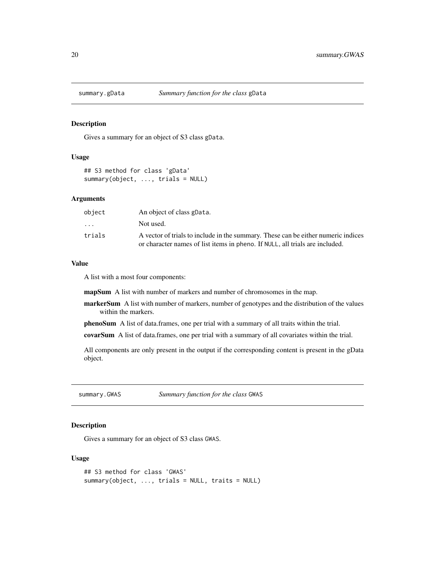<span id="page-19-1"></span><span id="page-19-0"></span>

#### Description

Gives a summary for an object of S3 class gData.

#### Usage

```
## S3 method for class 'gData'
summary(object, ..., trials = NULL)
```
#### Arguments

| object   | An object of class gData.                                                                                                                                         |
|----------|-------------------------------------------------------------------------------------------------------------------------------------------------------------------|
| $\cdots$ | Not used.                                                                                                                                                         |
| trials   | A vector of trials to include in the summary. These can be either numeric indices<br>or character names of list items in pheno. If NULL, all trials are included. |

#### Value

A list with a most four components:

mapSum A list with number of markers and number of chromosomes in the map.

- markerSum A list with number of markers, number of genotypes and the distribution of the values within the markers.
- phenoSum A list of data.frames, one per trial with a summary of all traits within the trial.

covarSum A list of data.frames, one per trial with a summary of all covariates within the trial.

All components are only present in the output if the corresponding content is present in the gData object.

<span id="page-19-2"></span>summary.GWAS *Summary function for the class* GWAS

#### Description

Gives a summary for an object of S3 class GWAS.

#### Usage

```
## S3 method for class 'GWAS'
summary(object, ..., trials = NULL, traits = NULL)
```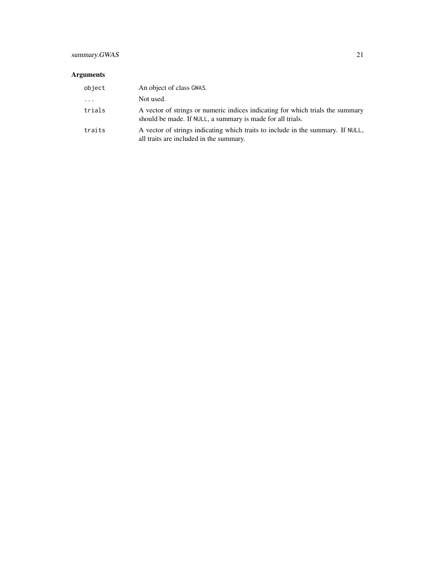### summary.GWAS 21

### Arguments

| object                  | An object of class GWAS.                                                                                                                     |
|-------------------------|----------------------------------------------------------------------------------------------------------------------------------------------|
| $\cdot$ $\cdot$ $\cdot$ | Not used.                                                                                                                                    |
| trials                  | A vector of strings or numeric indices indicating for which trials the summary<br>should be made. If NULL, a summary is made for all trials. |
| traits                  | A vector of strings indicating which traits to include in the summary. If NULL,<br>all traits are included in the summary.                   |